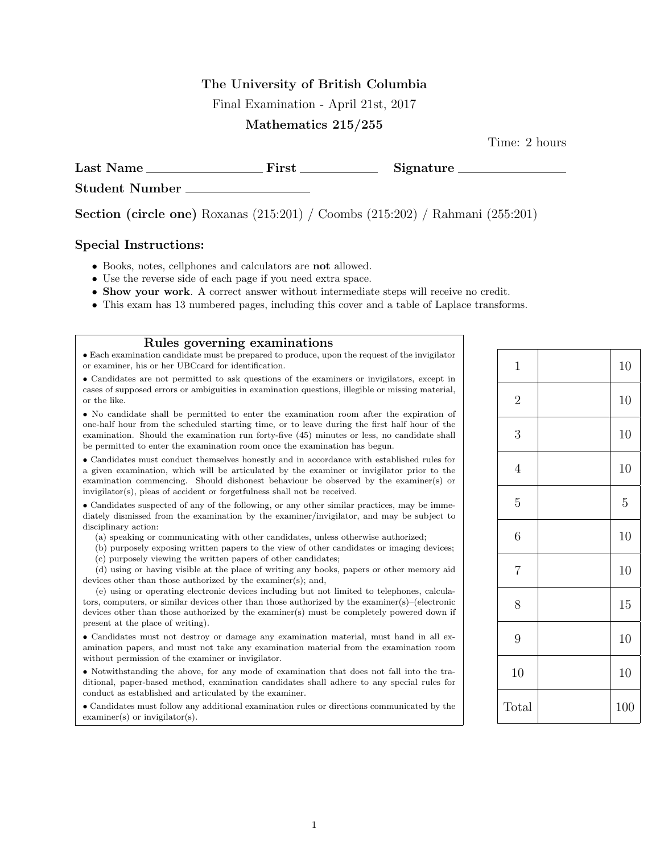#### The University of British Columbia

Final Examination - April 21st, 2017

#### Mathematics 215/255

Time: 2 hours

Last Name First Signature Student Number

Section (circle one) Roxanas (215:201) / Coombs (215:202) / Rahmani (255:201)

#### Special Instructions:

- Books, notes, cellphones and calculators are not allowed.
- Use the reverse side of each page if you need extra space.
- Show your work. A correct answer without intermediate steps will receive no credit.
- This exam has 13 numbered pages, including this cover and a table of Laplace transforms.

#### Rules governing examinations

• Each examination candidate must be prepared to produce, upon the request of the invigilator or examiner, his or her UBCcard for identification.

• Candidates are not permitted to ask questions of the examiners or invigilators, except in cases of supposed errors or ambiguities in examination questions, illegible or missing material, or the like.

• No candidate shall be permitted to enter the examination room after the expiration of one-half hour from the scheduled starting time, or to leave during the first half hour of the examination. Should the examination run forty-five (45) minutes or less, no candidate shall be permitted to enter the examination room once the examination has begun.

• Candidates must conduct themselves honestly and in accordance with established rules for a given examination, which will be articulated by the examiner or invigilator prior to the examination commencing. Should dishonest behaviour be observed by the examiner(s) or invigilator(s), pleas of accident or forgetfulness shall not be received.

• Candidates suspected of any of the following, or any other similar practices, may be immediately dismissed from the examination by the examiner/invigilator, and may be subject to disciplinary action:

(a) speaking or communicating with other candidates, unless otherwise authorized;

(b) purposely exposing written papers to the view of other candidates or imaging devices; (c) purposely viewing the written papers of other candidates;

(d) using or having visible at the place of writing any books, papers or other memory aid

devices other than those authorized by the examiner(s); and,

(e) using or operating electronic devices including but not limited to telephones, calculators, computers, or similar devices other than those authorized by the examiner(s)–(electronic devices other than those authorized by the examiner(s) must be completely powered down if present at the place of writing).

• Candidates must not destroy or damage any examination material, must hand in all examination papers, and must not take any examination material from the examination room without permission of the examiner or invigilator.

• Notwithstanding the above, for any mode of examination that does not fall into the traditional, paper-based method, examination candidates shall adhere to any special rules for conduct as established and articulated by the examiner.

• Candidates must follow any additional examination rules or directions communicated by the examiner(s) or invigilator(s).

| $\mathbf{1}$   | 10             |
|----------------|----------------|
| $\overline{2}$ | 10             |
| $\mathfrak{Z}$ | 10             |
| $\sqrt{4}$     | 10             |
| $\overline{5}$ | $\overline{5}$ |
| $\sqrt{6}$     | 10             |
| $\overline{7}$ | 10             |
| $8\,$          | 15             |
| $\overline{9}$ | 10             |
| 10             | 10             |
| Total          | 100            |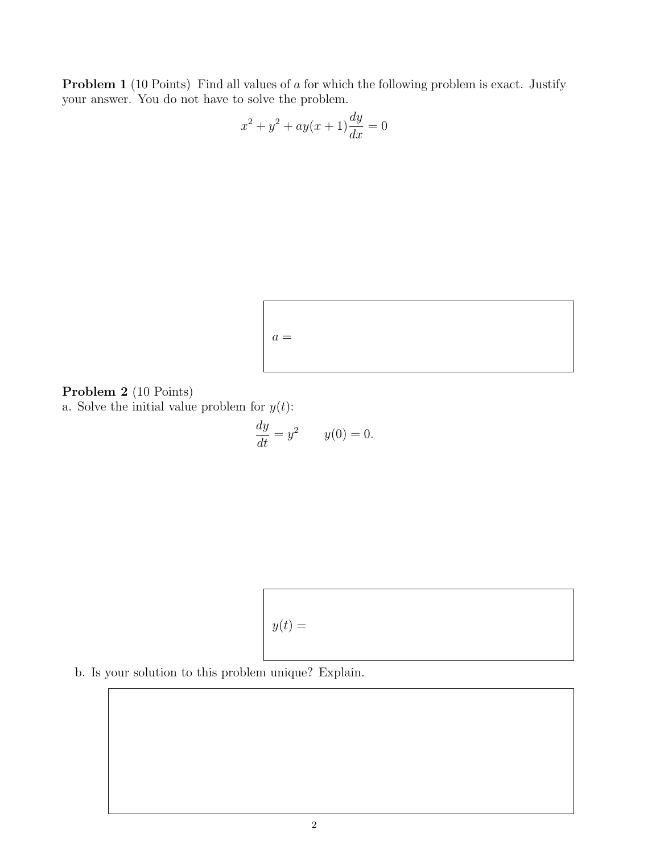Problem 1 (10 Points) Find all values of a for which the following problem is exact. Justify your answer. You do not have to solve the problem.

$$
x^{2} + y^{2} + ay(x+1)\frac{dy}{dx} = 0
$$



### Problem 2 (10 Points)

a. Solve the initial value problem for  $y(t)$ :

$$
\frac{dy}{dt} = y^2 \qquad y(0) = 0.
$$



b. Is your solution to this problem unique? Explain.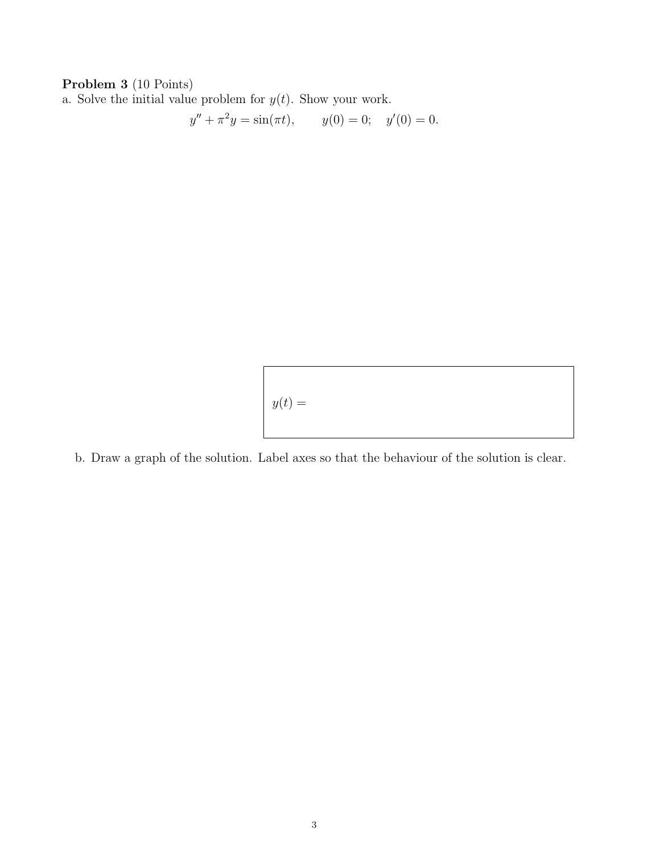## Problem 3 (10 Points)

a. Solve the initial value problem for  $y(t)$ . Show your work.

$$
y'' + \pi^2 y = \sin(\pi t), \qquad y(0) = 0; \quad y'(0) = 0.
$$

 $y(t) =$ 

b. Draw a graph of the solution. Label axes so that the behaviour of the solution is clear.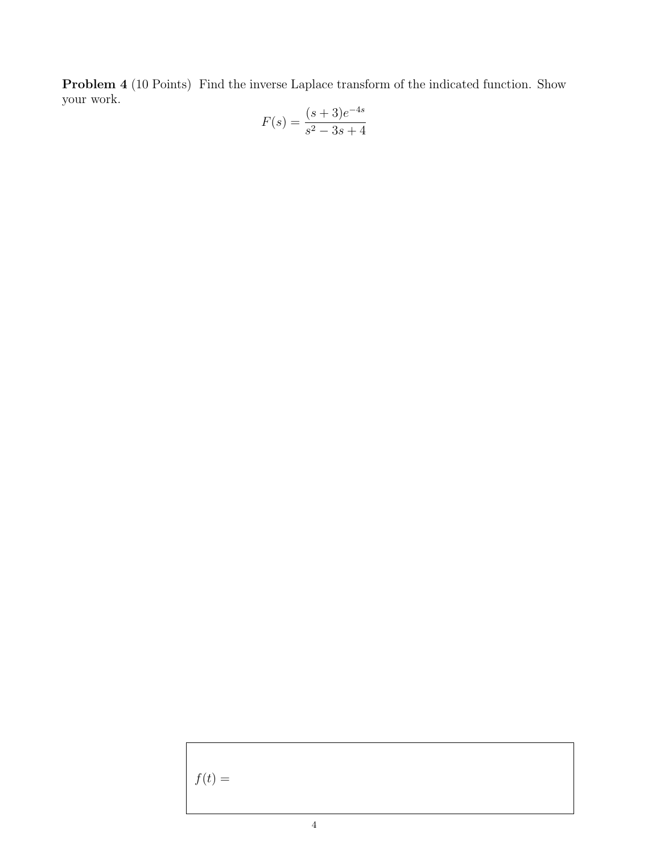Problem 4 (10 Points) Find the inverse Laplace transform of the indicated function. Show your work.

$$
F(s) = \frac{(s+3)e^{-4s}}{s^2 - 3s + 4}
$$

 $f(t) =$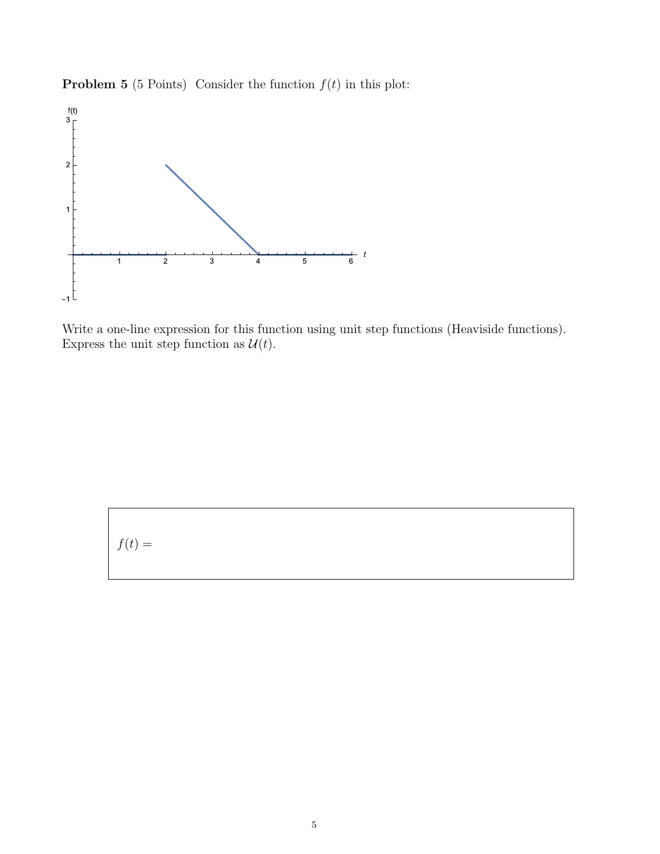



Write a one-line expression for this function using unit step functions (Heaviside functions). Express the unit step function as  $\mathcal{U}(t)$ .

$$
f(t) =
$$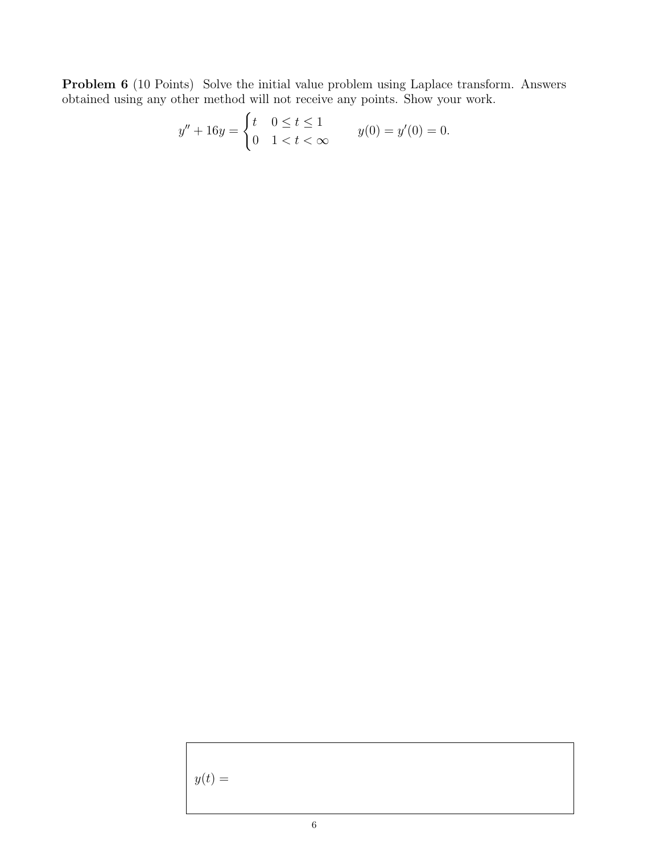Problem 6 (10 Points) Solve the initial value problem using Laplace transform. Answers obtained using any other method will not receive any points. Show your work.

$$
y'' + 16y = \begin{cases} t & 0 \le t \le 1 \\ 0 & 1 < t < \infty \end{cases} \qquad y(0) = y'(0) = 0.
$$

 $y(t) =$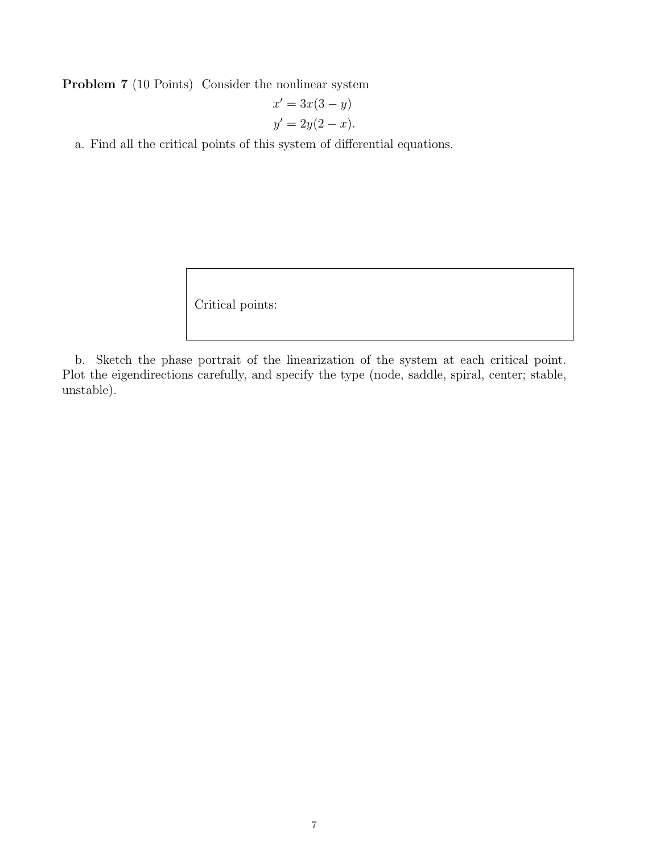Problem 7 (10 Points) Consider the nonlinear system

$$
x' = 3x(3 - y)
$$
  

$$
y' = 2y(2 - x).
$$

a. Find all the critical points of this system of differential equations.

Critical points:

b. Sketch the phase portrait of the linearization of the system at each critical point. Plot the eigendirections carefully, and specify the type (node, saddle, spiral, center; stable, unstable).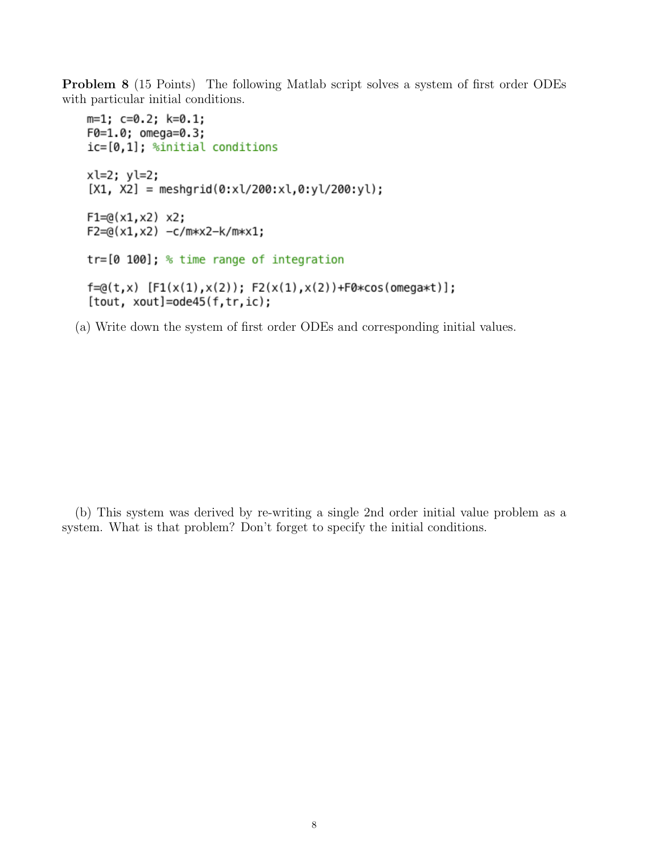Problem 8 (15 Points) The following Matlab script solves a system of first order ODEs with particular initial conditions.

```
m=1; c=0.2; k=0.1;F0=1.0; omega=0.3;
ic=[0,1]; %initial conditions
xl=2; yl=2;
[X1, X2] = meshgrid(0:x1/200:x1,0:y1/200:y1);F1 = Q(x1, x2) x2;
F2 = @(x1, x2) -c/m*x2-k/m*x1;tr=[0 100]; % time range of integration
f = @(t, x) [F1(x(1), x(2)); F2(x(1), x(2)) + F0 * cos(omega * t)];[tout, xout]=ode45(f, tr, ic);
```
(a) Write down the system of first order ODEs and corresponding initial values.

(b) This system was derived by re-writing a single 2nd order initial value problem as a system. What is that problem? Don't forget to specify the initial conditions.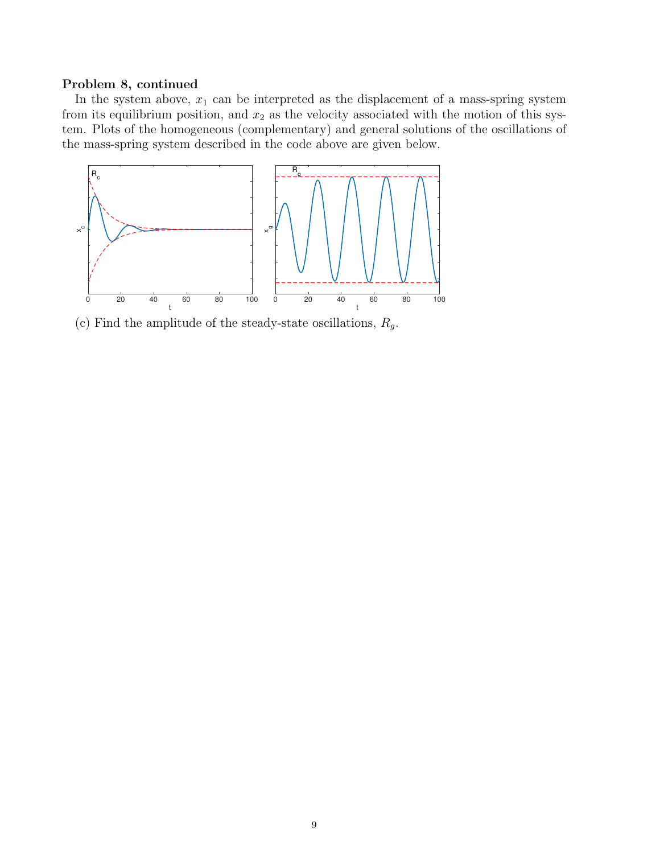### Problem 8, continued

In the system above,  $x_1$  can be interpreted as the displacement of a mass-spring system from its equilibrium position, and  $x_2$  as the velocity associated with the motion of this system. Plots of the homogeneous (complementary) and general solutions of the oscillations of the mass-spring system described in the code above are given below.



(c) Find the amplitude of the steady-state oscillations,  $R_g$ .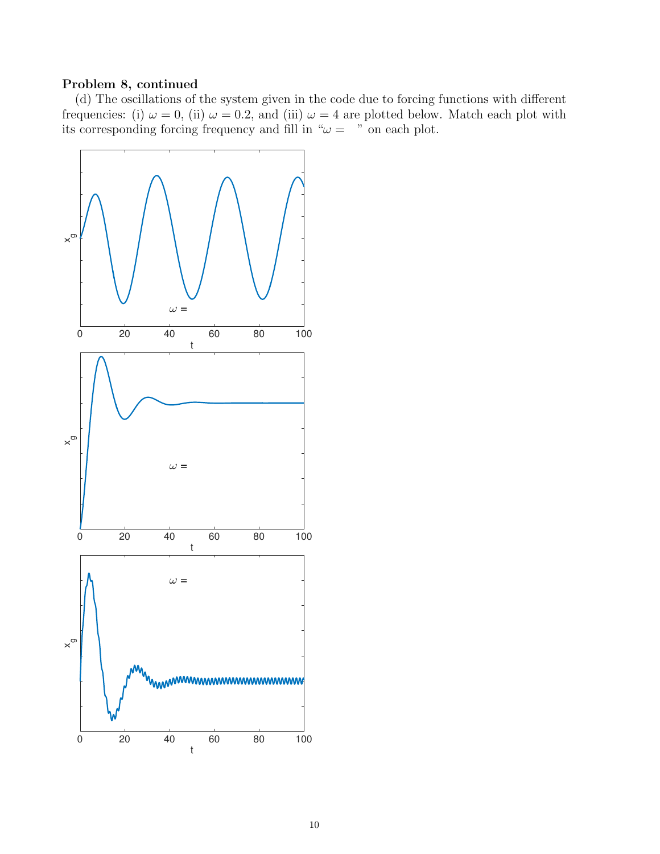## Problem 8, continued

(d) The oscillations of the system given in the code due to forcing functions with different frequencies: (i)  $\omega = 0$ , (ii)  $\omega = 0.2$ , and (iii)  $\omega = 4$  are plotted below. Match each plot with its corresponding forcing frequency and fill in " $\omega =$ " on each plot.

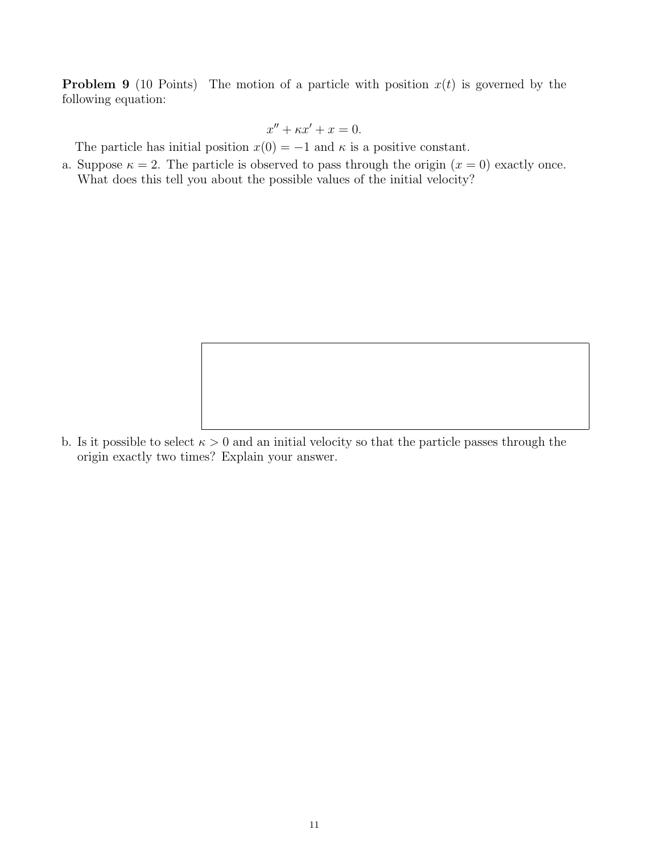**Problem 9** (10 Points) The motion of a particle with position  $x(t)$  is governed by the following equation:

$$
x'' + \kappa x' + x = 0.
$$

The particle has initial position  $x(0) = -1$  and  $\kappa$  is a positive constant.

a. Suppose  $\kappa = 2$ . The particle is observed to pass through the origin  $(x = 0)$  exactly once. What does this tell you about the possible values of the initial velocity?

b. Is it possible to select  $\kappa > 0$  and an initial velocity so that the particle passes through the origin exactly two times? Explain your answer.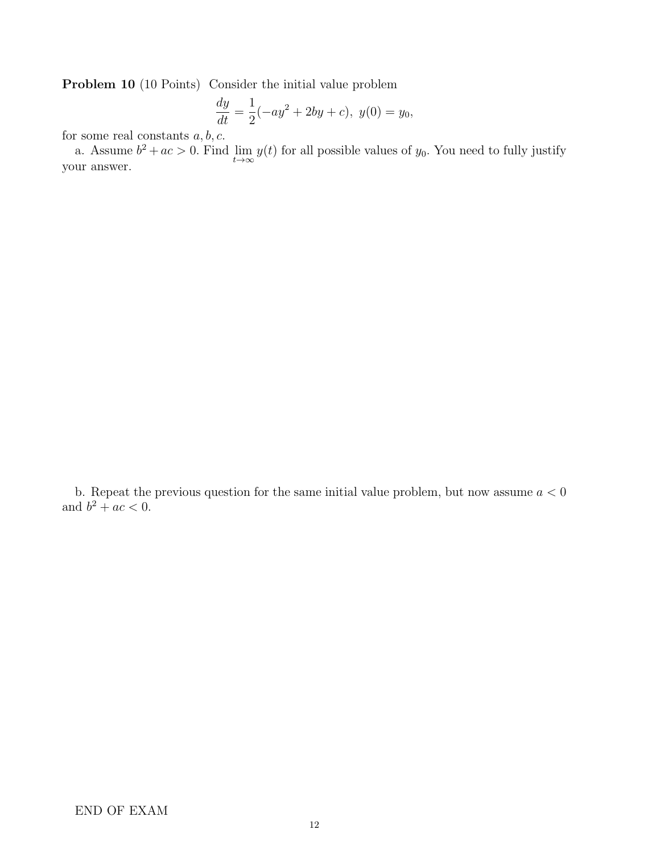Problem 10 (10 Points) Consider the initial value problem

$$
\frac{dy}{dt} = \frac{1}{2}(-ay^2 + 2by + c), \ y(0) = y_0,
$$

for some real constants  $a, b, c$ .

a. Assume  $b^2 + ac > 0$ . Find  $\lim_{t \to \infty} y(t)$  for all possible values of  $y_0$ . You need to fully justify your answer.

b. Repeat the previous question for the same initial value problem, but now assume  $a < 0$ and  $b^2 + ac < 0$ .